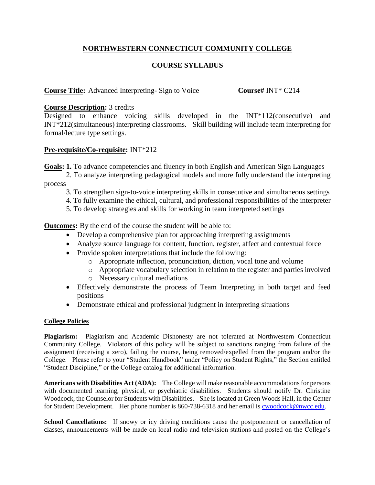# **NORTHWESTERN CONNECTICUT COMMUNITY COLLEGE**

## **COURSE SYLLABUS**

### **Course Title:** Advanced Interpreting- Sign to Voice **Course#** INT\* C214

### **Course Description:** 3 credits

Designed to enhance voicing skills developed in the INT\*112(consecutive) and INT\*212(simultaneous) interpreting classrooms. Skill building will include team interpreting for formal/lecture type settings.

#### **Pre-requisite/Co-requisite:** INT\*212

**Goals: 1.** To advance competencies and fluency in both English and American Sign Languages

- 2. To analyze interpreting pedagogical models and more fully understand the interpreting process
	- 3. To strengthen sign-to-voice interpreting skills in consecutive and simultaneous settings
	- 4. To fully examine the ethical, cultural, and professional responsibilities of the interpreter
	- 5. To develop strategies and skills for working in team interpreted settings

**Outcomes:** By the end of the course the student will be able to:

- Develop a comprehensive plan for approaching interpreting assignments
- Analyze source language for content, function, register, affect and contextual force
- Provide spoken interpretations that include the following:
	- o Appropriate inflection, pronunciation, diction, vocal tone and volume
	- o Appropriate vocabulary selection in relation to the register and parties involved
	- o Necessary cultural mediations
- Effectively demonstrate the process of Team Interpreting in both target and feed positions
- Demonstrate ethical and professional judgment in interpreting situations

#### **College Policies**

**Plagiarism:** Plagiarism and Academic Dishonesty are not tolerated at Northwestern Connecticut Community College. Violators of this policy will be subject to sanctions ranging from failure of the assignment (receiving a zero), failing the course, being removed/expelled from the program and/or the College. Please refer to your "Student Handbook" under "Policy on Student Rights," the Section entitled "Student Discipline," or the College catalog for additional information.

**Americans with Disabilities Act (ADA):** The College will make reasonable accommodations for persons with documented learning, physical, or psychiatric disabilities. Students should notify Dr. Christine Woodcock, the Counselor for Students with Disabilities. She is located at Green Woods Hall, in the Center for Student Development. Her phone number is 860-738-6318 and her email is [cwoodcock@nwcc.edu.](mailto:cwoodcock@nwcc.edu)

**School Cancellations:** If snowy or icy driving conditions cause the postponement or cancellation of classes, announcements will be made on local radio and television stations and posted on the College's